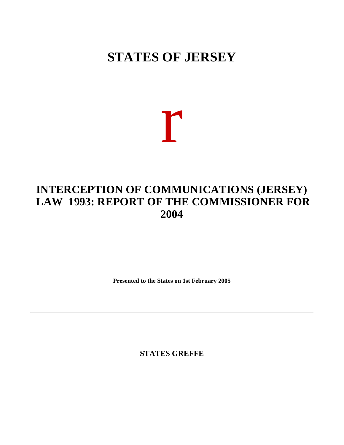## **STATES OF JERSEY**

# r

## **INTERCEPTION OF COMMUNICATIONS (JERSEY) LAW 1993: REPORT OF THE COMMISSIONER FOR 2004**

**Presented to the States on 1st February 2005**

**STATES GREFFE**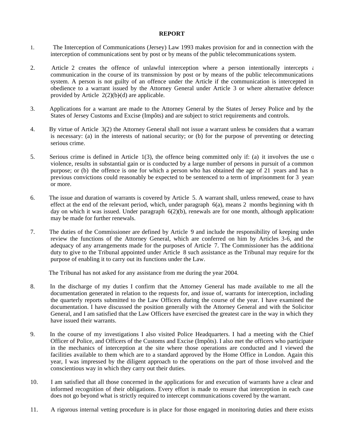#### **REPORT**

- 1. The Interception of Communications (Jersey) Law 1993 makes provision for and in connection with the interception of communications sent by post or by means of the public telecommunications system.
- 2. Article 2 creates the offence of unlawful interception where a person intentionally intercepts  $\epsilon$ communication in the course of its transmission by post or by means of the public telecommunications system. A person is not guilty of an offence under the Article if the communication is intercepted in obedience to a warrant issued by the Attorney General under Article 3 or where alternative defences provided by Article  $2(2)(b)(d)$  are applicable.
- 3. Applications for a warrant are made to the Attorney General by the States of Jersey Police and by the States of Jersey Customs and Excise (Impôts) and are subject to strict requirements and controls.
- 4. By virtue of Article 3(2) the Attorney General shall not issue a warrant unless he considers that a warrant is necessary: (a) in the interests of national security; or (b) for the purpose of preventing or detecting serious crime.
- 5. Serious crime is defined in Article 1(3), the offence being committed only if: (a) it involves the use of violence, results in substantial gain or is conducted by a large number of persons in pursuit of a common purpose; or (b) the offence is one for which a person who has obtained the age of 21 years and has no previous convictions could reasonably be expected to be sentenced to a term of imprisonment for 3 years or more.
- 6. The issue and duration of warrants is covered by Article 5. A warrant shall, unless renewed, cease to have effect at the end of the relevant period, which, under paragraph  $6(a)$ , means 2 months beginning with the day on which it was issued. Under paragraph  $6(2)(b)$ , renewals are for one month, although applications may be made for further renewals.
- 7. The duties of the Commissioner are defined by Article 9 and include the responsibility of keeping under review the functions of the Attorney General, which are conferred on him by Articles 3-6, and the adequacy of any arrangements made for the purposes of Article 7. The Commissioner has the additional duty to give to the Tribunal appointed under Article 8 such assistance as the Tribunal may require for the purpose of enabling it to carry out its functions under the Law.

The Tribunal has not asked for any assistance from me during the year 2004.

- 8. In the discharge of my duties I confirm that the Attorney General has made available to me all the documentation generated in relation to the requests for, and issue of, warrants for interception, including the quarterly reports submitted to the Law Officers during the course of the year. I have examined the documentation. I have discussed the position generally with the Attorney General and with the Solicitor General, and I am satisfied that the Law Officers have exercised the greatest care in the way in which they have issued their warrants.
- 9. In the course of my investigations I also visited Police Headquarters. I had a meeting with the Chief Officer of Police, and Officers of the Customs and Excise (Impôts). I also met the officers who participate in the mechanics of interception at the site where those operations are conducted and I viewed the facilities available to them which are to a standard approved by the Home Office in London. Again this year, I was impressed by the diligent approach to the operations on the part of those involved and the conscientious way in which they carry out their duties.
- 10. I am satisfied that all those concerned in the applications for and execution of warrants have a clear and informed recognition of their obligations. Every effort is made to ensure that interception in each case does not go beyond what is strictly required to intercept communications covered by the warrant.
- 11. A rigorous internal vetting procedure is in place for those engaged in monitoring duties and there exists